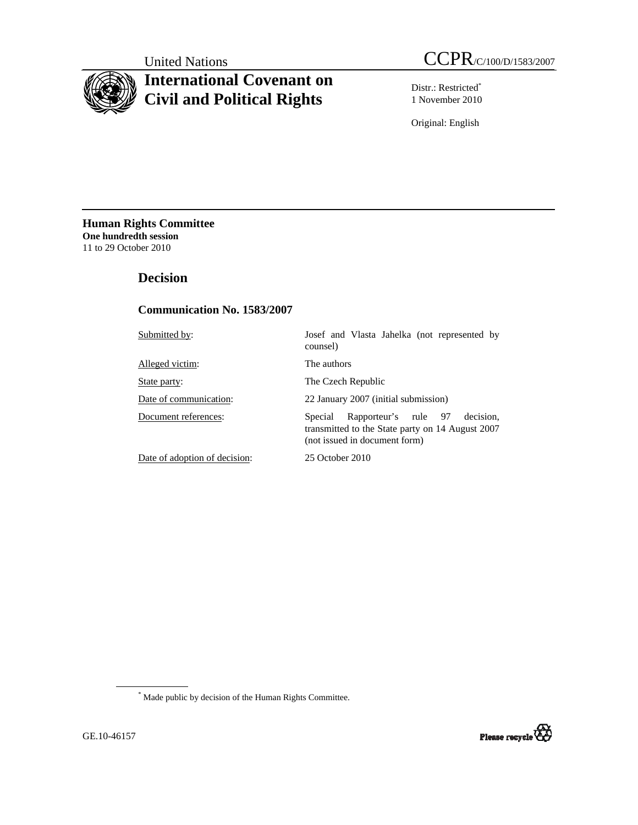# **International Covenant on Civil and Political Rights**

Distr.: Restricted\* 1 November 2010

Original: English

**Human Rights Committee One hundredth session** 11 to 29 October 2010

# **Decision**

## **Communication No. 1583/2007**

| Submitted by:                 | Josef and Vlasta Jahelka (not represented by<br>counsel)                                                                          |
|-------------------------------|-----------------------------------------------------------------------------------------------------------------------------------|
| Alleged victim:               | The authors                                                                                                                       |
| State party:                  | The Czech Republic                                                                                                                |
| Date of communication:        | 22 January 2007 (initial submission)                                                                                              |
| Document references:          | decision.<br>Rapporteur's rule 97<br>Special<br>transmitted to the State party on 14 August 2007<br>(not issued in document form) |
| Date of adoption of decision: | 25 October 2010                                                                                                                   |

\* Made public by decision of the Human Rights Committee.

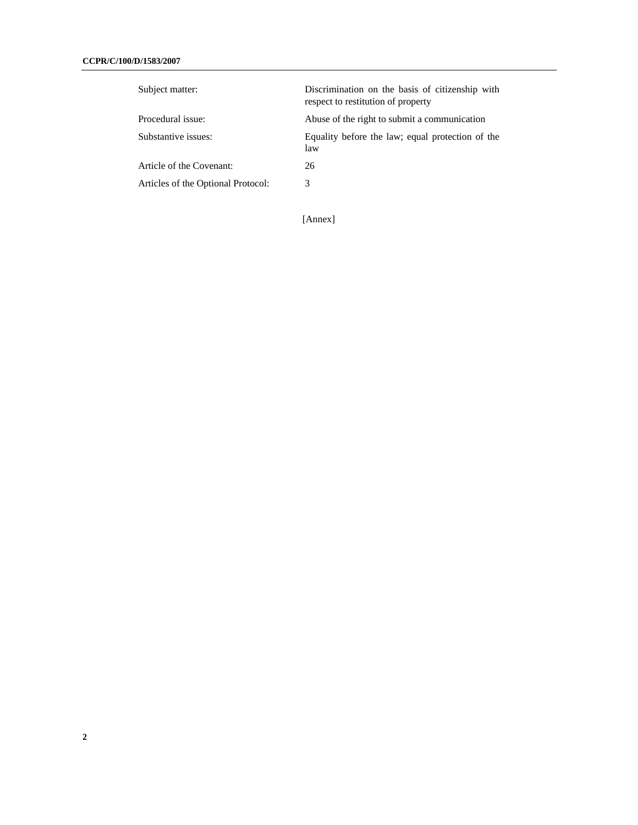| Subject matter:                    | Discrimination on the basis of citizenship with<br>respect to restitution of property |
|------------------------------------|---------------------------------------------------------------------------------------|
| Procedural issue:                  | Abuse of the right to submit a communication                                          |
| Substantive issues:                | Equality before the law; equal protection of the<br>law                               |
| Article of the Covenant:           | 26                                                                                    |
| Articles of the Optional Protocol: | 3                                                                                     |

[Annex]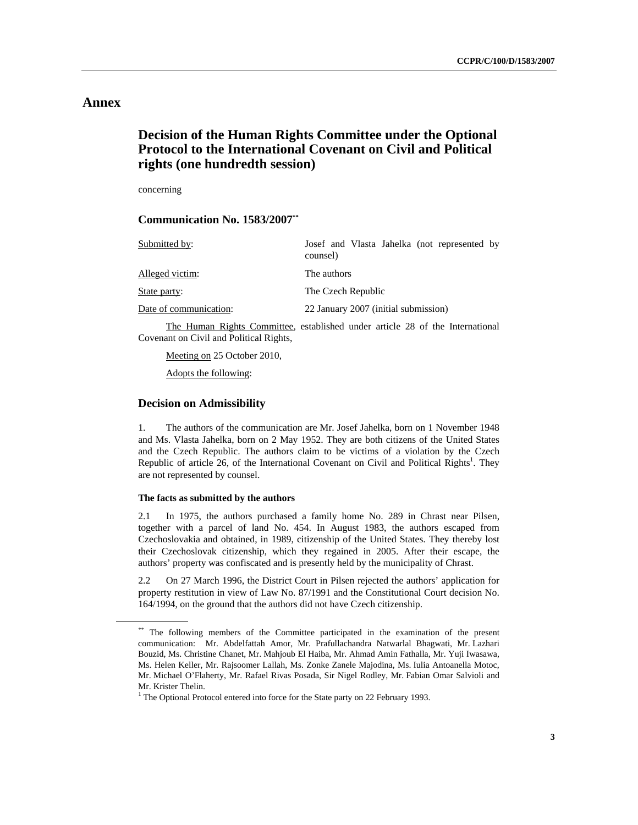# **Annex**

# **Decision of the Human Rights Committee under the Optional Protocol to the International Covenant on Civil and Political rights (one hundredth session)**

concerning

 **Communication No. 1583/2007\*\***

| Submitted by:          | Josef and Vlasta Jahelka (not represented by<br>counsel) |
|------------------------|----------------------------------------------------------|
| Alleged victim:        | The authors                                              |
| State party:           | The Czech Republic                                       |
| Date of communication: | 22 January 2007 (initial submission)                     |

 The Human Rights Committee, established under article 28 of the International Covenant on Civil and Political Rights,

Meeting on 25 October 2010,

Adopts the following:

## **Decision on Admissibility**

1. The authors of the communication are Mr. Josef Jahelka, born on 1 November 1948 and Ms. Vlasta Jahelka, born on 2 May 1952. They are both citizens of the United States and the Czech Republic. The authors claim to be victims of a violation by the Czech Republic of article 26, of the International Covenant on Civil and Political Rights<sup>1</sup>. They are not represented by counsel.

## **The facts as submitted by the authors**

2.1 In 1975, the authors purchased a family home No. 289 in Chrast near Pilsen, together with a parcel of land No. 454. In August 1983, the authors escaped from Czechoslovakia and obtained, in 1989, citizenship of the United States. They thereby lost their Czechoslovak citizenship, which they regained in 2005. After their escape, the authors' property was confiscated and is presently held by the municipality of Chrast.

2.2 On 27 March 1996, the District Court in Pilsen rejected the authors' application for property restitution in view of Law No. 87/1991 and the Constitutional Court decision No. 164/1994, on the ground that the authors did not have Czech citizenship.

<sup>\*\*</sup> The following members of the Committee participated in the examination of the present communication: Mr. Abdelfattah Amor, Mr. Prafullachandra Natwarlal Bhagwati, Mr. Lazhari Bouzid, Ms. Christine Chanet, Mr. Mahjoub El Haiba, Mr. Ahmad Amin Fathalla, Mr. Yuji Iwasawa, Ms. Helen Keller, Mr. Rajsoomer Lallah, Ms. Zonke Zanele Majodina, Ms. Iulia Antoanella Motoc, Mr. Michael O'Flaherty, Mr. Rafael Rivas Posada, Sir Nigel Rodley, Mr. Fabian Omar Salvioli and Mr. Krister Thelin.

<sup>&</sup>lt;sup>1</sup> The Optional Protocol entered into force for the State party on 22 February 1993.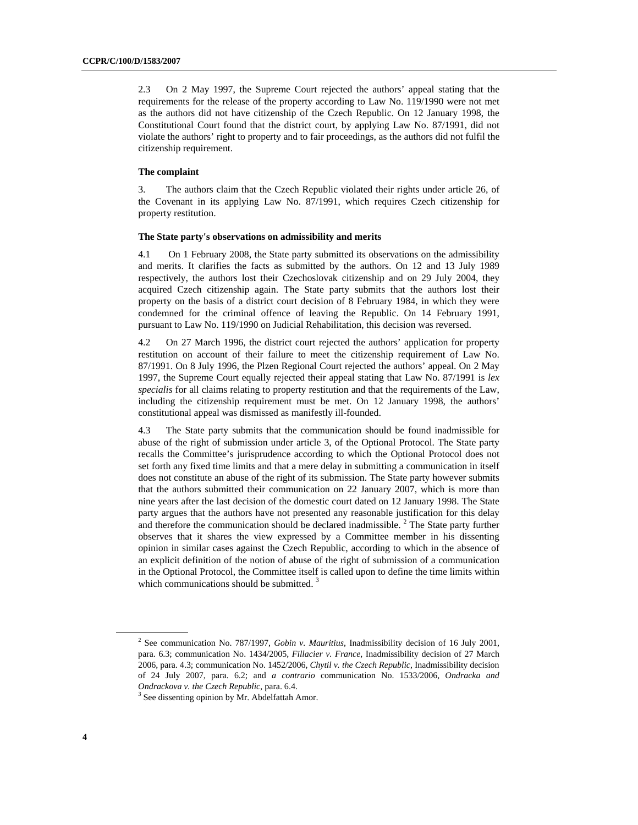2.3 On 2 May 1997, the Supreme Court rejected the authors' appeal stating that the requirements for the release of the property according to Law No. 119/1990 were not met as the authors did not have citizenship of the Czech Republic. On 12 January 1998, the Constitutional Court found that the district court, by applying Law No. 87/1991, did not violate the authors' right to property and to fair proceedings, as the authors did not fulfil the citizenship requirement.

### **The complaint**

3. The authors claim that the Czech Republic violated their rights under article 26, of the Covenant in its applying Law No. 87/1991, which requires Czech citizenship for property restitution.

#### **The State party's observations on admissibility and merits**

4.1 On 1 February 2008, the State party submitted its observations on the admissibility and merits. It clarifies the facts as submitted by the authors. On 12 and 13 July 1989 respectively, the authors lost their Czechoslovak citizenship and on 29 July 2004, they acquired Czech citizenship again. The State party submits that the authors lost their property on the basis of a district court decision of 8 February 1984, in which they were condemned for the criminal offence of leaving the Republic. On 14 February 1991, pursuant to Law No. 119/1990 on Judicial Rehabilitation, this decision was reversed.

4.2 On 27 March 1996, the district court rejected the authors' application for property restitution on account of their failure to meet the citizenship requirement of Law No. 87/1991. On 8 July 1996, the Plzen Regional Court rejected the authors' appeal. On 2 May 1997, the Supreme Court equally rejected their appeal stating that Law No. 87/1991 is *lex specialis* for all claims relating to property restitution and that the requirements of the Law, including the citizenship requirement must be met. On 12 January 1998, the authors' constitutional appeal was dismissed as manifestly ill-founded.

4.3 The State party submits that the communication should be found inadmissible for abuse of the right of submission under article 3, of the Optional Protocol. The State party recalls the Committee's jurisprudence according to which the Optional Protocol does not set forth any fixed time limits and that a mere delay in submitting a communication in itself does not constitute an abuse of the right of its submission. The State party however submits that the authors submitted their communication on 22 January 2007, which is more than nine years after the last decision of the domestic court dated on 12 January 1998. The State party argues that the authors have not presented any reasonable justification for this delay and therefore the communication should be declared inadmissible.<sup>2</sup> The State party further observes that it shares the view expressed by a Committee member in his dissenting opinion in similar cases against the Czech Republic, according to which in the absence of an explicit definition of the notion of abuse of the right of submission of a communication in the Optional Protocol, the Committee itself is called upon to define the time limits within which communications should be submitted.  $3$ 

<sup>2</sup> See communication No. 787/1997, *Gobin v. Mauritius*, Inadmissibility decision of 16 July 2001, para. 6.3; communication No. 1434/2005, *Fillacier v. France*, Inadmissibility decision of 27 March 2006, para. 4.3; communication No. 1452/2006, *Chytil v. the Czech Republic*, Inadmissibility decision of 24 July 2007, para. 6.2; and *a contrario* communication No. 1533/2006, *Ondracka and Ondrackova v. the Czech Republic*, para. 6.4. 3

<sup>&</sup>lt;sup>3</sup> See dissenting opinion by Mr. Abdelfattah Amor.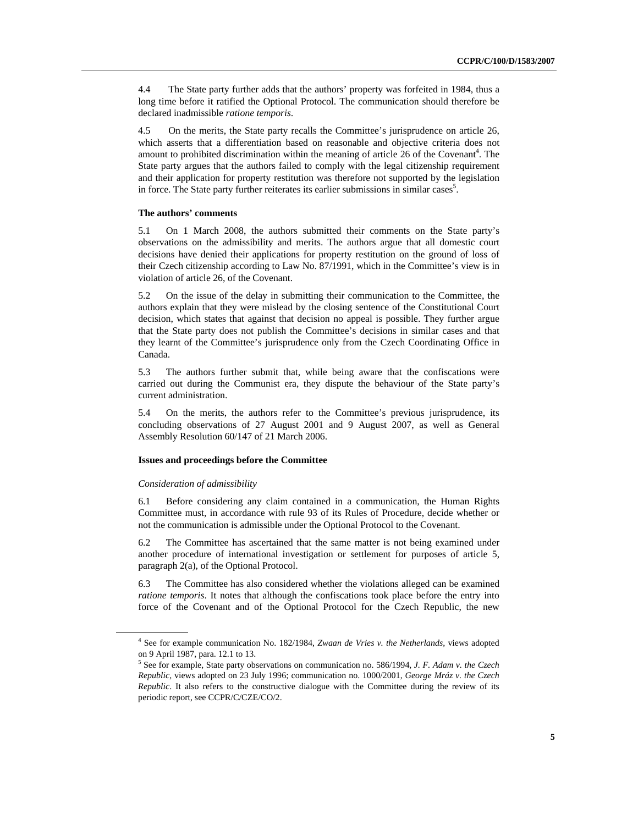4.4 The State party further adds that the authors' property was forfeited in 1984, thus a long time before it ratified the Optional Protocol. The communication should therefore be declared inadmissible *ratione temporis*.

4.5 On the merits, the State party recalls the Committee's jurisprudence on article 26, which asserts that a differentiation based on reasonable and objective criteria does not amount to prohibited discrimination within the meaning of article 26 of the Covenant<sup>4</sup>. The State party argues that the authors failed to comply with the legal citizenship requirement and their application for property restitution was therefore not supported by the legislation in force. The State party further reiterates its earlier submissions in similar cases<sup>5</sup>.

## **The authors' comments**

5.1 On 1 March 2008, the authors submitted their comments on the State party's observations on the admissibility and merits. The authors argue that all domestic court decisions have denied their applications for property restitution on the ground of loss of their Czech citizenship according to Law No. 87/1991, which in the Committee's view is in violation of article 26, of the Covenant.

5.2 On the issue of the delay in submitting their communication to the Committee, the authors explain that they were mislead by the closing sentence of the Constitutional Court decision, which states that against that decision no appeal is possible. They further argue that the State party does not publish the Committee's decisions in similar cases and that they learnt of the Committee's jurisprudence only from the Czech Coordinating Office in Canada.

5.3 The authors further submit that, while being aware that the confiscations were carried out during the Communist era, they dispute the behaviour of the State party's current administration.

5.4 On the merits, the authors refer to the Committee's previous jurisprudence, its concluding observations of 27 August 2001 and 9 August 2007, as well as General Assembly Resolution 60/147 of 21 March 2006.

### **Issues and proceedings before the Committee**

#### *Consideration of admissibility*

6.1 Before considering any claim contained in a communication, the Human Rights Committee must, in accordance with rule 93 of its Rules of Procedure, decide whether or not the communication is admissible under the Optional Protocol to the Covenant.

6.2 The Committee has ascertained that the same matter is not being examined under another procedure of international investigation or settlement for purposes of article 5, paragraph 2(a), of the Optional Protocol.

6.3 The Committee has also considered whether the violations alleged can be examined *ratione temporis*. It notes that although the confiscations took place before the entry into force of the Covenant and of the Optional Protocol for the Czech Republic, the new

<sup>4</sup> See for example communication No. 182/1984, *Zwaan de Vries v. the Netherlands*, views adopted on 9 April 1987, para. 12.1 to 13.

<sup>5</sup> See for example, State party observations on communication no. 586/1994, *J. F. Adam v. the Czech Republic*, views adopted on 23 July 1996; communication no. 1000/2001, *George Mráz v. the Czech Republic*. It also refers to the constructive dialogue with the Committee during the review of its periodic report, see CCPR/C/CZE/CO/2.